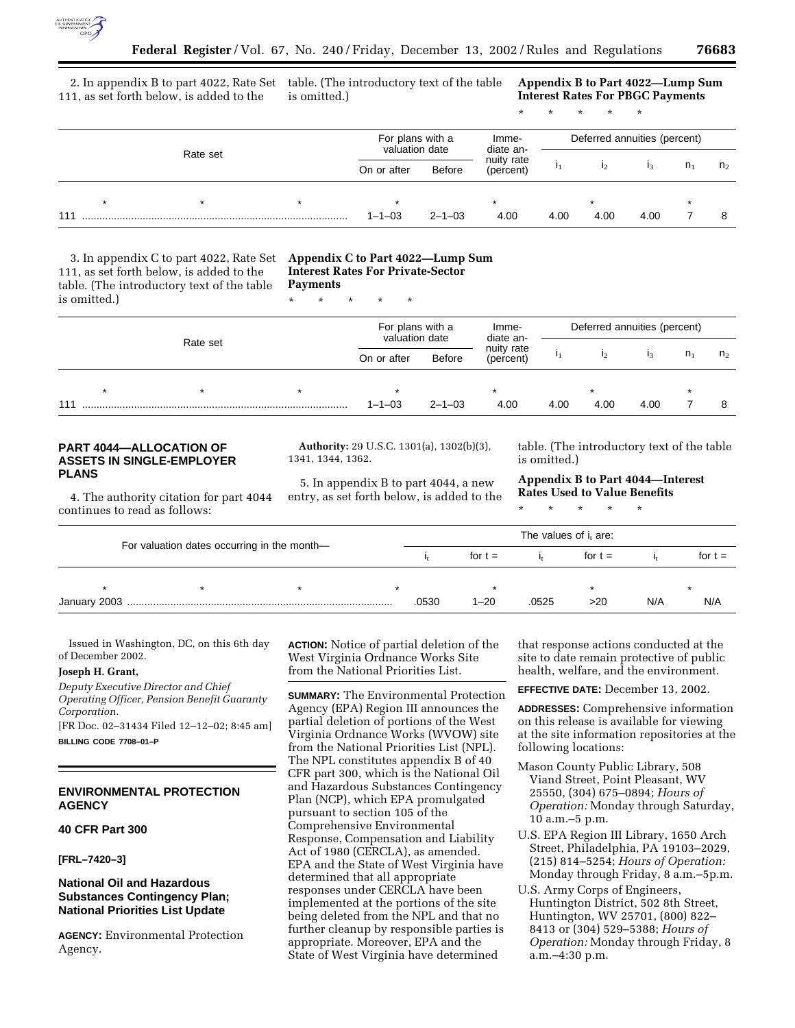

111, as set forth below, is added to the

2. In appendix B to part 4022, Rate Set table. (The introductory text of the table is omitted.)

**Appendix B to Part 4022—Lump Sum Interest Rates For PBGC Payments**

\* \* \* \* \*

|     | Rate set |  |  | For plans with a<br>valuation date |                                   | Imme-<br>diate an- | Deferred annuities (percent) |      |      |                |                |
|-----|----------|--|--|------------------------------------|-----------------------------------|--------------------|------------------------------|------|------|----------------|----------------|
|     |          |  |  | On or after                        | nuity rate<br>Before<br>(percent) |                    |                              |      |      | n <sub>1</sub> | n <sub>2</sub> |
|     |          |  |  |                                    |                                   |                    |                              |      |      |                |                |
| 111 |          |  |  | $1 - 1 - 03$                       | $2 - 1 - 03$                      | 4.00               | 4.00                         | 4.00 | 4.00 |                |                |

3. In appendix C to part 4022, Rate Set 111, as set forth below, is added to the table. (The introductory text of the table is omitted.)

#### **Appendix C to Part 4022—Lump Sum Interest Rates For Private-Sector Payments**

\* \* \* \* \*

|     | Rate set |  |  | For plans with a<br>valuation date<br>Before<br>On or after |              | Imme-<br>diate an-      | Deferred annuities (percent) |                |         |                |                |
|-----|----------|--|--|-------------------------------------------------------------|--------------|-------------------------|------------------------------|----------------|---------|----------------|----------------|
|     |          |  |  |                                                             |              | nuity rate<br>(percent) |                              | $\mathbf{I}_2$ | $_{13}$ | n <sub>1</sub> | n <sub>2</sub> |
|     |          |  |  |                                                             |              | $\star$                 |                              |                |         | $\star$        |                |
| 111 |          |  |  | $1 - 1 - 03$                                                | $2 - 1 - 03$ | 4.00                    | 4.00                         | 4.00           | 4.00    |                | 8              |

## **PART 4044—ALLOCATION OF ASSETS IN SINGLE-EMPLOYER PLANS**

4. The authority citation for part 4044 continues to read as follows:

**Authority:** 29 U.S.C. 1301(a), 1302(b)(3), 1341, 1344, 1362.

5. In appendix B to part 4044, a new entry, as set forth below, is added to the

table. (The introductory text of the table is omitted.)

**Appendix B to Part 4044—Interest Rates Used to Value Benefits**

\* \* \* \* \*

|                                             |  |  | The values of i <sub>t</sub> are: |           |       |           |     |           |  |  |  |
|---------------------------------------------|--|--|-----------------------------------|-----------|-------|-----------|-----|-----------|--|--|--|
| For valuation dates occurring in the month- |  |  |                                   | for $t =$ |       | for $t =$ |     | for $t =$ |  |  |  |
|                                             |  |  |                                   |           |       |           |     |           |  |  |  |
|                                             |  |  | 0530                              | $1 - 20$  | .0525 | >20       | N/A | N/A       |  |  |  |

Issued in Washington, DC, on this 6th day of December 2002.

# **Joseph H. Grant,**

*Deputy Executive Director and Chief Operating Officer, Pension Benefit Guaranty Corporation.*

[FR Doc. 02–31434 Filed 12–12–02; 8:45 am] **BILLING CODE 7708–01–P**

# **ENVIRONMENTAL PROTECTION AGENCY**

# **40 CFR Part 300**

**[FRL–7420–3]** 

# **National Oil and Hazardous Substances Contingency Plan; National Priorities List Update**

**AGENCY:** Environmental Protection Agency.

**ACTION:** Notice of partial deletion of the West Virginia Ordnance Works Site from the National Priorities List.

**SUMMARY:** The Environmental Protection Agency (EPA) Region III announces the partial deletion of portions of the West Virginia Ordnance Works (WVOW) site from the National Priorities List (NPL). The NPL constitutes appendix B of 40 CFR part 300, which is the National Oil and Hazardous Substances Contingency Plan (NCP), which EPA promulgated pursuant to section 105 of the Comprehensive Environmental Response, Compensation and Liability Act of 1980 (CERCLA), as amended. EPA and the State of West Virginia have determined that all appropriate responses under CERCLA have been implemented at the portions of the site being deleted from the NPL and that no further cleanup by responsible parties is appropriate. Moreover, EPA and the State of West Virginia have determined

that response actions conducted at the site to date remain protective of public health, welfare, and the environment.

**EFFECTIVE DATE:** December 13, 2002.

**ADDRESSES:** Comprehensive information on this release is available for viewing at the site information repositories at the following locations:

- Mason County Public Library, 508 Viand Street, Point Pleasant, WV 25550, (304) 675–0894; *Hours of Operation:* Monday through Saturday, 10 a.m.–5 p.m.
- U.S. EPA Region III Library, 1650 Arch Street, Philadelphia, PA 19103–2029, (215) 814–5254; *Hours of Operation:* Monday through Friday, 8 a.m.–5p.m.
- U.S. Army Corps of Engineers, Huntington District, 502 8th Street, Huntington, WV 25701, (800) 822– 8413 or (304) 529–5388; *Hours of Operation:* Monday through Friday, 8 a.m.–4:30 p.m.